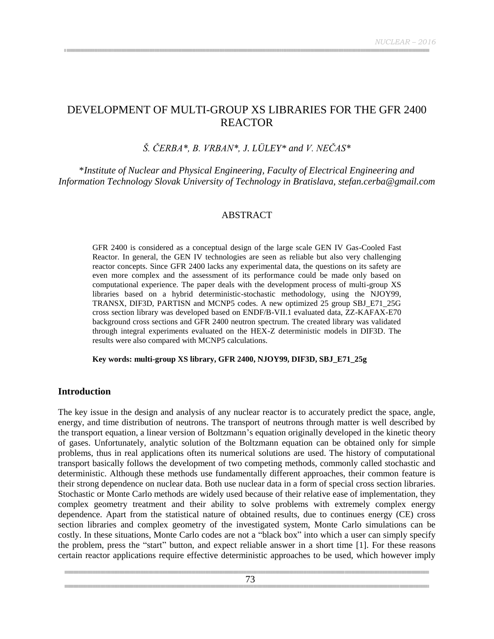# DEVELOPMENT OF MULTI-GROUP XS LIBRARIES FOR THE GFR 2400 REACTOR

*Š. ČERBA\*, B. VRBAN\*, J. LÜLEY\* and V. NEČAS\** 

\**Institute of Nuclear and Physical Engineering, Faculty of Electrical Engineering and Information Technology Slovak University of Technology in Bratislava, stefan.cerba@gmail.com* 

### ABSTRACT

GFR 2400 is considered as a conceptual design of the large scale GEN IV Gas-Cooled Fast Reactor. In general, the GEN IV technologies are seen as reliable but also very challenging reactor concepts. Since GFR 2400 lacks any experimental data, the questions on its safety are even more complex and the assessment of its performance could be made only based on computational experience. The paper deals with the development process of multi-group XS libraries based on a hybrid deterministic-stochastic methodology, using the NJOY99, TRANSX, DIF3D, PARTISN and MCNP5 codes. A new optimized 25 group SBJ\_E71\_25G cross section library was developed based on ENDF/B-VII.1 evaluated data, ZZ-KAFAX-E70 background cross sections and GFR 2400 neutron spectrum. The created library was validated through integral experiments evaluated on the HEX-Z deterministic models in DIF3D. The results were also compared with MCNP5 calculations.

**Key words: multi-group XS library, GFR 2400, NJOY99, DIF3D, SBJ\_E71\_25g**

### **Introduction**

The key issue in the design and analysis of any nuclear reactor is to accurately predict the space, angle, energy, and time distribution of neutrons. The transport of neutrons through matter is well described by the transport equation, a linear version of Boltzmann's equation originally developed in the kinetic theory of gases. Unfortunately, analytic solution of the Boltzmann equation can be obtained only for simple problems, thus in real applications often its numerical solutions are used. The history of computational transport basically follows the development of two competing methods, commonly called stochastic and deterministic. Although these methods use fundamentally different approaches, their common feature is their strong dependence on nuclear data. Both use nuclear data in a form of special cross section libraries. Stochastic or Monte Carlo methods are widely used because of their relative ease of implementation, they complex geometry treatment and their ability to solve problems with extremely complex energy dependence. Apart from the statistical nature of obtained results, due to continues energy (CE) cross section libraries and complex geometry of the investigated system, Monte Carlo simulations can be costly. In these situations, Monte Carlo codes are not a "black box" into which a user can simply specify the problem, press the "start" button, and expect reliable answer in a short time [1]. For these reasons certain reactor applications require effective deterministic approaches to be used, which however imply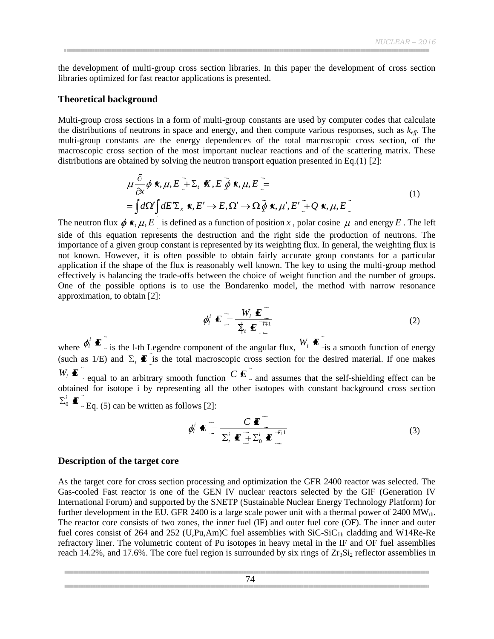the development of multi-group cross section libraries. In this paper the development of cross section libraries optimized for fast reactor applications is presented.

#### **Theoretical background**

Multi-group cross sections in a form of multi-group constants are used by computer codes that calculate the distributions of neutrons in space and energy, and then compute various responses, such as *keff*. The multi-group constants are the energy dependences of the total macroscopic cross section, of the macroscopic cross section of the most important nuclear reactions and of the scattering matrix. These distributions are obtained by solving the neutron transport equation presented in Eq.(1) [2]:

$$
\mu \frac{\partial}{\partial x} \phi \star, \mu, E \to \Sigma_t \star, E \bar{\phi} \star, \mu, E =
$$
\n
$$
= \int d\Omega' \int dE' \Sigma_x \star, E' \to E, \Omega' \to \Omega \bar{\phi} \star, \mu', E' \to Q \star, \mu, E
$$
\n(1)

The neutron flux  $\phi$  **x**,  $\mu$ , *E* is defined as a function of position *x*, polar cosine  $\mu$  and energy *E*. The left side of this equation represents the destruction and the right side the production of neutrons. The importance of a given group constant is represented by its weighting flux. In general, the weighting flux is not known. However, it is often possible to obtain fairly accurate group constants for a particular application if the shape of the flux is reasonably well known. The key to using the multi-group method effectively is balancing the trade-offs between the choice of weight function and the number of groups. One of the possible options is to use the Bondarenko model, the method with narrow resonance approximation, to obtain [2]:

$$
\phi_l^i \mathbf{E} = \frac{W_l \mathbf{E}}{\sum_{i} \mathbf{E} \frac{\tau_{l}}{T} \tag{2}
$$

where  $\phi_i^i$  **C**  $\mathbf{E}_{i}^{i}$  **E** - is the 1-th Legendre component of the angular flux,  $W_{i}$  **E** -is a smooth function of energy (such as 1/E) and  $\Sigma$ <sub>t</sub>  $\mathbf{F}$  is the total macroscopic cross section for the desired material. If one makes  $W_l \triangleq$  equal to an arbitrary smooth function  $C \triangleq$  and assumes that the self-shielding effect can be obtained for isotope i by representing all the other isotopes with constant background cross section *E i*  $^{\circ}$   $\sim$  - Eq. (5) can be written as follows [2]:

$$
\phi_i^i \mathbf{E} = \frac{C \mathbf{E}}{\sum_i^i \mathbf{E} + \sum_{i=1}^i \mathbf{E} - \sum_{i=1}^{i} \mathbf{E} - \sum_{i=1}^{i} \mathbf{E} - \sum_{i=1}^{i} \mathbf{E} - \sum_{i=1}^{i} \mathbf{E} - \sum_{i=1}^{i} \mathbf{E} - \sum_{i=1}^{i} \mathbf{E} - \sum_{i=1}^{i} \mathbf{E} - \sum_{i=1}^{i} \mathbf{E} - \sum_{i=1}^{i} \mathbf{E} - \sum_{i=1}^{i} \mathbf{E} - \sum_{i=1}^{i} \mathbf{E} - \sum_{i=1}^{i} \mathbf{E} - \sum_{i=1}^{i} \mathbf{E} - \sum_{i=1}^{i} \mathbf{E} - \sum_{i=1}^{i} \mathbf{E} - \sum_{i=1}^{i} \mathbf{E} - \sum_{i=1}^{i} \mathbf{E} - \sum_{i=1}^{i} \mathbf{E} - \sum_{i=1}^{i} \mathbf{E} - \sum_{i=1}^{i} \mathbf{E} - \sum_{i=1}^{i} \mathbf{E} - \sum_{i=1}^{i} \mathbf{E} - \sum_{i=1}^{i} \mathbf{E} - \sum_{i=1}^{i} \mathbf{E} - \sum_{i=1}^{i} \mathbf{E} - \sum_{i=1}^{i} \mathbf{E} - \sum_{i=1}^{i} \mathbf{E} - \sum_{i=1}^{i} \mathbf{E} - \sum_{i=1}^{i} \mathbf{E} - \sum_{i=1}^{i} \mathbf{E} - \sum_{i=1}^{i} \mathbf{E} - \sum_{i=1}^{i} \mathbf{E} - \sum_{i=1}^{i} \mathbf{E} - \sum_{i=1}^{i} \mathbf{E} - \sum_{i=1}^{i} \mathbf{E} - \sum_{i=1}^{i} \mathbf{E} - \sum_{i=1}^{i} \mathbf{E} - \sum_{i=1}^{i} \mathbf{E} - \sum_{i=1}^{i} \mathbf{E} - \sum_{i=1}^{i} \mathbf{E} - \sum_{i=1}^{i} \mathbf{E} - \sum_{i=1}^{i} \mathbf
$$

#### **Description of the target core**

As the target core for cross section processing and optimization the GFR 2400 reactor was selected. The Gas-cooled Fast reactor is one of the GEN IV nuclear reactors selected by the GIF (Generation IV International Forum) and supported by the SNETP (Sustainable Nuclear Energy Technology Platform) for further development in the EU. GFR 2400 is a large scale power unit with a thermal power of 2400 MW<sub>th</sub>. The reactor core consists of two zones, the inner fuel (IF) and outer fuel core (OF). The inner and outer fuel cores consist of 264 and 252 (U,Pu,Am)C fuel assemblies with SiC-SiC<sub>fib</sub> cladding and W14Re-Re refractory liner. The volumetric content of Pu isotopes in heavy metal in the IF and OF fuel assemblies reach 14.2%, and 17.6%. The core fuel region is surrounded by six rings of  $Zr_3Si_2$  reflector assemblies in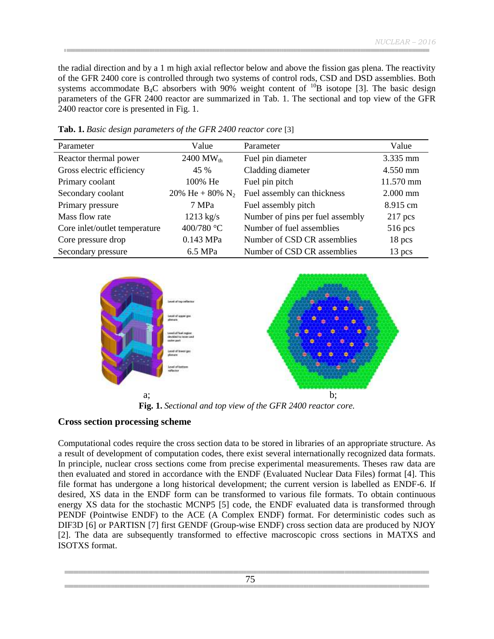the radial direction and by a 1 m high axial reflector below and above the fission gas plena. The reactivity of the GFR 2400 core is controlled through two systems of control rods, CSD and DSD assemblies. Both systems accommodate  $B_4C$  absorbers with 90% weight content of  $^{10}B$  isotope [3]. The basic design parameters of the GFR 2400 reactor are summarized in [Tab. 1.](#page-2-0) The sectional and top view of the GFR 2400 reactor core is presented in [Fig. 1.](#page-2-1)

| Parameter                     | Value                       | Parameter                        | Value             |
|-------------------------------|-----------------------------|----------------------------------|-------------------|
| Reactor thermal power         | 2400 MW <sub>th</sub>       | Fuel pin diameter                | 3.335 mm          |
| Gross electric efficiency     | 45 %                        | Cladding diameter                | 4.550 mm          |
| Primary coolant               | 100% He                     | Fuel pin pitch                   | 11.570 mm         |
| Secondary coolant             | 20% He + 80% N <sub>2</sub> | Fuel assembly can thickness      | $2.000$ mm        |
| Primary pressure              | 7 MPa                       | Fuel assembly pitch              | 8.915 cm          |
| Mass flow rate                | $1213$ kg/s                 | Number of pins per fuel assembly | $217$ pcs         |
| Core inlet/outlet temperature | 400/780 °C                  | Number of fuel assemblies        | $516$ pcs         |
| Core pressure drop            | 0.143 MPa                   | Number of CSD CR assemblies      | 18 <sub>pos</sub> |
| Secondary pressure            | $6.5$ MPa                   | Number of CSD CR assemblies      | 13 pcs            |

<span id="page-2-0"></span>**Tab. 1.** *Basic design parameters of the GFR 2400 reactor core* [3]



**Fig. 1.** *Sectional and top view of the GFR 2400 reactor core.*

### <span id="page-2-1"></span>**Cross section processing scheme**

Computational codes require the cross section data to be stored in libraries of an appropriate structure. As a result of development of computation codes, there exist several internationally recognized data formats. In principle, nuclear cross sections come from precise experimental measurements. Theses raw data are then evaluated and stored in accordance with the ENDF (Evaluated Nuclear Data Files) format [4]. This file format has undergone a long historical development; the current version is labelled as ENDF-6. If desired, XS data in the ENDF form can be transformed to various file formats. To obtain continuous energy XS data for the stochastic MCNP5 [5] code, the ENDF evaluated data is transformed through PENDF (Pointwise ENDF) to the ACE (A Complex ENDF) format. For deterministic codes such as DIF3D [6] or PARTISN [7] first GENDF (Group-wise ENDF) cross section data are produced by NJOY [2]. The data are subsequently transformed to effective macroscopic cross sections in MATXS and ISOTXS format.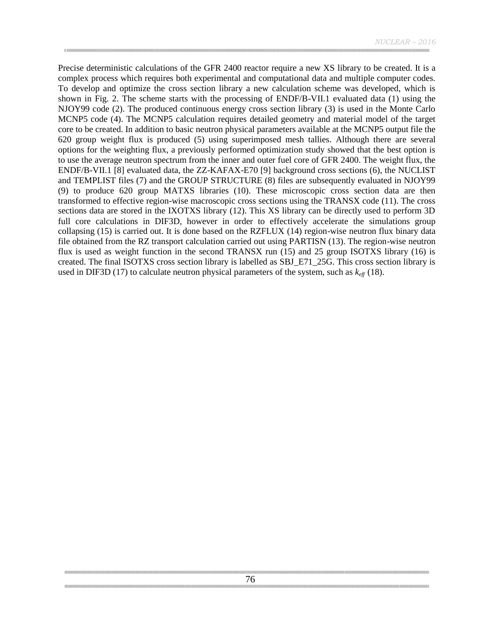Precise deterministic calculations of the GFR 2400 reactor require a new XS library to be created. It is a complex process which requires both experimental and computational data and multiple computer codes. To develop and optimize the cross section library a new calculation scheme was developed, which is shown in [Fig. 2.](#page-4-0) The scheme starts with the processing of ENDF/B-VII.1 evaluated data (1) using the NJOY99 code (2). The produced continuous energy cross section library (3) is used in the Monte Carlo MCNP5 code (4). The MCNP5 calculation requires detailed geometry and material model of the target core to be created. In addition to basic neutron physical parameters available at the MCNP5 output file the 620 group weight flux is produced (5) using superimposed mesh tallies. Although there are several options for the weighting flux, a previously performed optimization study showed that the best option is to use the average neutron spectrum from the inner and outer fuel core of GFR 2400. The weight flux, the ENDF/B-VII.1 [8] evaluated data, the ZZ-KAFAX-E70 [9] background cross sections (6), the NUCLIST and TEMPLIST files (7) and the GROUP STRUCTURE (8) files are subsequently evaluated in NJOY99 (9) to produce 620 group MATXS libraries (10). These microscopic cross section data are then transformed to effective region-wise macroscopic cross sections using the TRANSX code (11). The cross sections data are stored in the IXOTXS library (12). This XS library can be directly used to perform 3D full core calculations in DIF3D, however in order to effectively accelerate the simulations group collapsing (15) is carried out. It is done based on the RZFLUX (14) region-wise neutron flux binary data file obtained from the RZ transport calculation carried out using PARTISN (13). The region-wise neutron flux is used as weight function in the second TRANSX run (15) and 25 group ISOTXS library (16) is created. The final ISOTXS cross section library is labelled as SBJ\_E71\_25G. This cross section library is used in DIF3D (17) to calculate neutron physical parameters of the system, such as *keff* (18).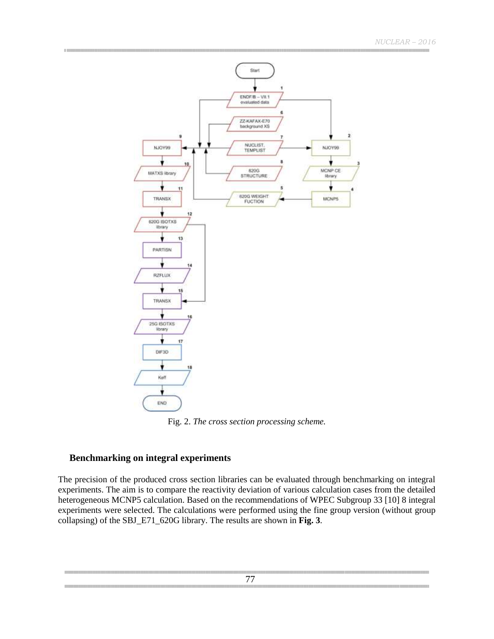

Fig. 2. *The cross section processing scheme.*

### <span id="page-4-0"></span>**Benchmarking on integral experiments**

The precision of the produced cross section libraries can be evaluated through benchmarking on integral experiments. The aim is to compare the reactivity deviation of various calculation cases from the detailed heterogeneous MCNP5 calculation. Based on the recommendations of WPEC Subgroup 33 [10] 8 integral experiments were selected. The calculations were performed using the fine group version (without group collapsing) of the SBJ\_E71\_620G library. The results are shown in **[Fig. 3](#page-5-0)**.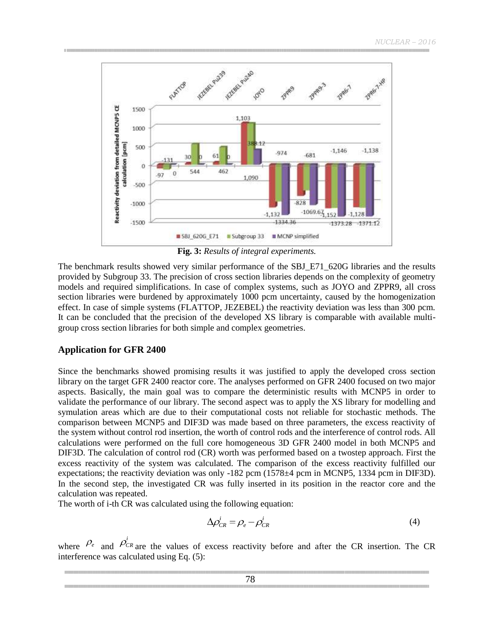

**Fig. 3:** *Results of integral experiments.*

<span id="page-5-0"></span>The benchmark results showed very similar performance of the SBJ\_E71\_620G libraries and the results provided by Subgroup 33. The precision of cross section libraries depends on the complexity of geometry models and required simplifications. In case of complex systems, such as JOYO and ZPPR9, all cross section libraries were burdened by approximately 1000 pcm uncertainty, caused by the homogenization effect. In case of simple systems (FLATTOP, JEZEBEL) the reactivity deviation was less than 300 pcm. It can be concluded that the precision of the developed XS library is comparable with available multigroup cross section libraries for both simple and complex geometries.

### **Application for GFR 2400**

Since the benchmarks showed promising results it was justified to apply the developed cross section library on the target GFR 2400 reactor core. The analyses performed on GFR 2400 focused on two major aspects. Basically, the main goal was to compare the deterministic results with MCNP5 in order to validate the performance of our library. The second aspect was to apply the XS library for modelling and symulation areas which are due to their computational costs not reliable for stochastic methods. The comparison between MCNP5 and DIF3D was made based on three parameters, the excess reactivity of the system without control rod insertion, the worth of control rods and the interference of control rods. All calculations were performed on the full core homogeneous 3D GFR 2400 model in both MCNP5 and DIF3D. The calculation of control rod (CR) worth was performed based on a twostep approach. First the excess reactivity of the system was calculated. The comparison of the excess reactivity fulfilled our expectations; the reactivity deviation was only -182 pcm (1578±4 pcm in MCNP5, 1334 pcm in DIF3D). In the second step, the investigated CR was fully inserted in its position in the reactor core and the calculation was repeated.

The worth of i-th CR was calculated using the following equation:

$$
\Delta \rho_{CR}^i = \rho_e - \rho_{CR}^i \tag{4}
$$

where  $\mu_e$  and *i CR* are the values of excess reactivity before and after the CR insertion. The CR interference was calculated using Eq. (5):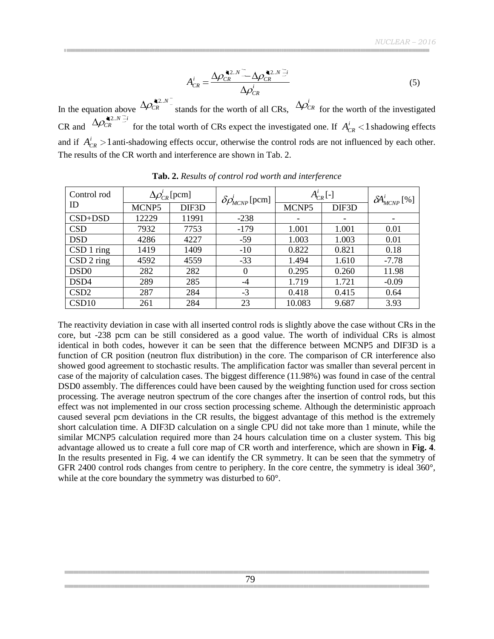$$
A_{CR}^i = \frac{\Delta \rho_{CR}^{\mathbf{42} \dots N} - \Delta \rho_{CR}^{\mathbf{42} \dots N} - i}{\Delta \rho_{CR}^i}
$$
(5)

In the equation above *N CR*  $1, 2.$ . stands for the worth of all CRs, *i CR* for the worth of the investigated CR and  $N - i$ *CR*  $42.$ for the total worth of CRs expect the investigated one. If  $A_{CR}^i$  < 1 shadowing effects and if  $A_{CR}^i > 1$  anti-shadowing effects occur, otherwise the control rods are not influenced by each other. The results of the CR worth and interference are shown in [Tab. 2.](#page-6-0)

<span id="page-6-0"></span>

| Control rod<br>ID | $\Delta \rho_{CR}^i$ [pcm] |                    | $\delta \rho_{M CNP}^i$ [pcm] | $A_{CR}^{\prime}$ [-] |                    | $\delta\!A_{MCNP}^{i}$ [%] |
|-------------------|----------------------------|--------------------|-------------------------------|-----------------------|--------------------|----------------------------|
|                   | MCNP5                      | DIF <sub>3</sub> D |                               | MCNP5                 | DIF <sub>3</sub> D |                            |
| $CSD+DSD$         | 12229                      | 11991              | $-238$                        |                       |                    |                            |
| <b>CSD</b>        | 7932                       | 7753               | $-179$                        | 1.001                 | 1.001              | 0.01                       |
| <b>DSD</b>        | 4286                       | 4227               | $-59$                         | 1.003                 | 1.003              | 0.01                       |
| $CSD1$ ring       | 1419                       | 1409               | $-10$                         | 0.822                 | 0.821              | 0.18                       |
| $CSD$ 2 ring      | 4592                       | 4559               | $-33$                         | 1.494                 | 1.610              | $-7.78$                    |
| DSD <sub>0</sub>  | 282                        | 282                | $\theta$                      | 0.295                 | 0.260              | 11.98                      |
| DSD4              | 289                        | 285                | -4                            | 1.719                 | 1.721              | $-0.09$                    |
| CSD <sub>2</sub>  | 287                        | 284                | $-3$                          | 0.418                 | 0.415              | 0.64                       |
| CSD <sub>10</sub> | 261                        | 284                | 23                            | 10.083                | 9.687              | 3.93                       |

**Tab. 2.** *Results of control rod worth and interference*

The reactivity deviation in case with all inserted control rods is slightly above the case without CRs in the core, but -238 pcm can be still considered as a good value. The worth of individual CRs is almost identical in both codes, however it can be seen that the difference between MCNP5 and DIF3D is a function of CR position (neutron flux distribution) in the core. The comparison of CR interference also showed good agreement to stochastic results. The amplification factor was smaller than several percent in case of the majority of calculation cases. The biggest difference (11.98%) was found in case of the central DSD0 assembly. The differences could have been caused by the weighting function used for cross section processing. The average neutron spectrum of the core changes after the insertion of control rods, but this effect was not implemented in our cross section processing scheme. Although the deterministic approach caused several pcm deviations in the CR results, the biggest advantage of this method is the extremely short calculation time. A DIF3D calculation on a single CPU did not take more than 1 minute, while the similar MCNP5 calculation required more than 24 hours calculation time on a cluster system. This big advantage allowed us to create a full core map of CR worth and interference, which are shown in **[Fig. 4](#page-7-0)**. In the results presented in [Fig. 4](#page-7-0) we can identify the CR symmetry. It can be seen that the symmetry of GFR 2400 control rods changes from centre to periphery. In the core centre, the symmetry is ideal 360°, while at the core boundary the symmetry was disturbed to 60<sup>°</sup>.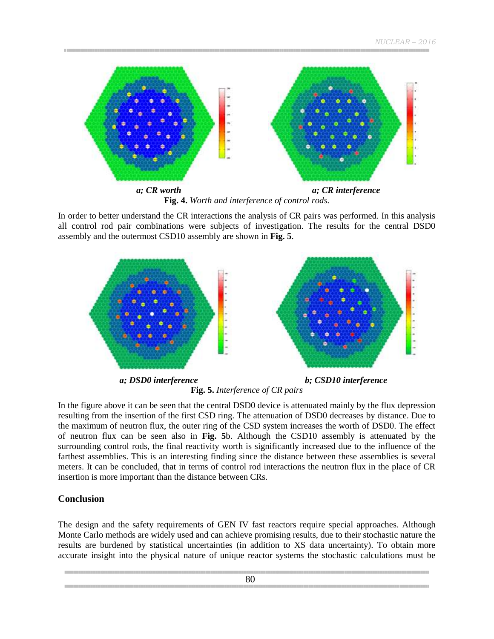

**Fig. 4.** *Worth and interference of control rods.*

<span id="page-7-0"></span>In order to better understand the CR interactions the analysis of CR pairs was performed. In this analysis all control rod pair combinations were subjects of investigation. The results for the central DSD0 assembly and the outermost CSD10 assembly are shown in **[Fig. 5](#page-7-1)**.



**Fig. 5.** *Interference of CR pairs* 

<span id="page-7-1"></span>In the figure above it can be seen that the central DSD0 device is attenuated mainly by the flux depression resulting from the insertion of the first CSD ring. The attenuation of DSD0 decreases by distance. Due to the maximum of neutron flux, the outer ring of the CSD system increases the worth of DSD0. The effect of neutron flux can be seen also in **[Fig. 5](#page-7-1)**b. Although the CSD10 assembly is attenuated by the surrounding control rods, the final reactivity worth is significantly increased due to the influence of the farthest assemblies. This is an interesting finding since the distance between these assemblies is several meters. It can be concluded, that in terms of control rod interactions the neutron flux in the place of CR insertion is more important than the distance between CRs.

## **Conclusion**

The design and the safety requirements of GEN IV fast reactors require special approaches. Although Monte Carlo methods are widely used and can achieve promising results, due to their stochastic nature the results are burdened by statistical uncertainties (in addition to XS data uncertainty). To obtain more accurate insight into the physical nature of unique reactor systems the stochastic calculations must be